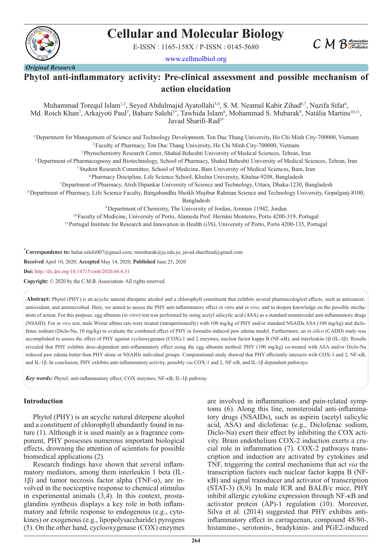

# **Cellular and Molecular Biology**

E-ISSN : 1165-158X / P-ISSN : 0145-5680



www.cellmolbiol.org

*Original Research*

# **Phytol anti-inflammatory activity: Pre-clinical assessment and possible mechanism of action elucidation**

Muhammad Torequl Islam<sup>1,2</sup>, Seyed Abdulmajid Ayatollahi<sup>3,4</sup>, S. M. Neamul Kabir Zihad<sup>6,7</sup>, Nazifa Sifat<sup>6</sup>, Md. Roich Khan<sup>7</sup>, Arkajyoti Paul<sup>7</sup>, Bahare Salehi<sup>5\*</sup>, Tawhida Islam<sup>8</sup>, Mohammad S. Mubarak<sup>9</sup>, Natália Martins<sup>10,11</sup>, Javad Sharifi-Rad<sup>3\*</sup>

1 Department for Management of Science and Technology Development, Ton Duc Thang University, Ho Chi Minh City-700000, Vietnam 2 Faculty of Pharmacy, Ton Duc Thang University, Ho Chi Minh City-700000, Vietnam

3 Phytochemistry Research Center, Shahid Beheshti University of Medical Sciences, Tehran, Iran

4 Department of Pharmacognosy and Biotechnology, School of Pharmacy, Shahid Beheshti University of Medical Sciences, Tehran, Iran

5 Student Research Committee, School of Medicine, Bam University of Medical Sciences, Bam, Iran

6 Pharmacy Discipline, Life Science School, Khulna University, Khulna-9208, Bangladesh

7 Department of Pharmacy, Atish Dipankar University of Science and Technology, Uttara, Dhaka-1230, Bangladesh

8 Department of Pharmacy, Life Science Faculty, Bangabandhu Sheikh Mujibur Rahman Science and Technology University, Gopalganj-8100,

Bangladesh

9 Department of Chemistry, The University of Jordan, Amman 11942, Jordan

10 Faculty of Medicine, University of Porto, Alameda Prof. Hernâni Monteiro, Porto 4200-319, Portugal

11 Portugal Institute for Research and Innovation in Health (i3S), University of Porto, Porto 4200-135, Portugal

\* **Correspondence to:** bahar.salehi007@gmail.com; mmubarak@ju.edu.jo; javad.sharifirad@gmail.com **Received** April 10, 2020; **Accepted** May 14, 2020; **Published** June 25, 2020

**Doi:** http://dx.doi.org/10.14715/cmb/2020.66.4.31

**Copyright:** © 2020 by the C.M.B. Association. All rights reserved.

**Abstract:** Phytol (PHY) is an acyclic natural diterpene alcohol and a chlorophyll constituent that exhibits several pharmacological effects, such as anticancer, antioxidant, and antimicrobial. Here, we aimed to assess the PHY anti-inflammatory effect *in vitro* and *in vivo*, and to deepen knowledge on the possible mechanism of action. For this purpose, egg albumin (*in vitro*) test was performed by using acetyl salicylic acid (ASA) as a standard nonsteroidal anti-inflammatory drugs (NSAID). For *in vivo* test, male Wistar albino rats were treated (intraperitoneally) with 100 mg/kg of PHY and/or standard NSAIDs ASA (100 mg/kg) and diclofenac sodium (Diclo-Na, 10 mg/kg) to evaluate the combined effect of PHY in formalin-induced paw edema model. Furthermore, an *in silico* (CADD) study was accomplished to assess the effect of PHY against cyclooxygenase (COX)-1 and 2 enzymes, nuclear factor kappa B (NF-κB), and interleukin-1β (IL-1β). Results revealed that PHY exhibits dose-dependent anti-inflammatory effect using the egg albumin method. PHY (100 mg/kg) co-treated with ASA and/or Diclo-Na reduced paw edema better than PHY alone or NSAIDs individual groups. Computational study showed that PHY efficiently interacts with COX-1 and 2, NF-κB, and IL-1β. In conclusion, PHY exhibits anti-inflammatory activity, possibly *via* COX-1 and 2, NF-κB, and IL-1β dependent pathways.

*Key words:* Phytol; anti-inflammatory effect; COX enzymes; NF-κB; IL-1β pathway.

#### **Introduction**

Phytol (PHY) is an acyclic natural diterpene alcohol and a constituent of chlorophyll abundantly found in nature (1). Although it is used mainly as a fragrance component, PHY possesses numerous important biological effects, drowning the attention of scientists for possible biomedical applications (2).

Research findings have shown that several inflammatory mediators, among them interleukin 1 beta (IL-1β) and tumor necrosis factor alpha (TNF-α), are involved in the nociceptive response to chemical stimulus in experimental animals (3,4). In this context, prostaglandins synthesis displays a key role in both inflammatory and febrile response to endogenous (e.g., cytokines) or exogenous (e.g., lipopolysaccharide) pyrogens (5). On the other hand, cyclooxygenase (COX) enzymes

are involved in inflammation- and pain-related symptoms (6). Along this line, nonsteroidal anti-inflammatory drugs (NSAIDs), such as aspirin (acetyl salicylic acid, ASA) and diclofenac (e.g., Diclofenac sodium, Diclo-Na) exert their effect by inhibiting the COX activity. Brain endothelium COX-2 induction exerts a crucial role in inflammation (7). COX-2 pathways transcription and induction are activated by cytokines and TNF, triggering the central mechanisms that act *via* the transcription factors such nuclear factor kappa B (NFκB) and signal transducer and activator of transcription (STAT-3) (8,9). In male ICR and BALB/c mice, PHY inhibit allergic cytokine expression through NF-κB and activator protein (AP)-1 regulation (10). Moreover, Silva et al. (2014) suggested that PHY exhibits antiinflammatory effect in carrageenan, compound 48/80-, histamine-, serotonin-, bradykinin- and PGE2-induced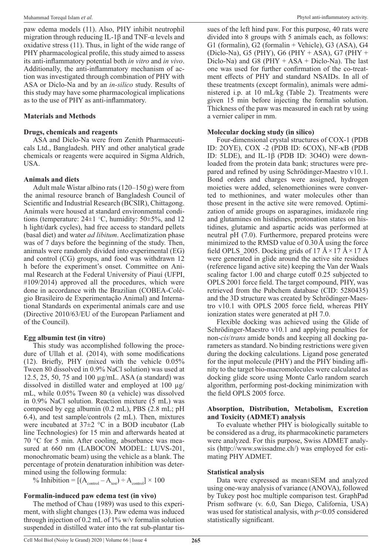paw edema models (11). Also, PHY inhibit neutrophil migration through reducing IL-1 $\beta$  and TNF- $\alpha$  levels and oxidative stress (11). Thus, in light of the wide range of PHY pharmacological profile, this study aimed to assess its anti-inflammatory potential both *in vitro* and *in vivo*. Additionally, the anti-inflammatory mechanism of action was investigated through combination of PHY with ASA or Diclo-Na and by an *in-silico* study. Results of this study may have some pharmacological implications as to the use of PHY as anti-inflammatory.

#### **Materials and Methods**

#### **Drugs, chemicals and reagents**

ASA and Diclo-Na were from Zenith Pharmaceuticals Ltd., Bangladesh. PHY and other analytical grade chemicals or reagents were acquired in Sigma Aldrich, USA.

#### **Animals and diets**

Adult male Wistar albino rats (120–150g) were from the animal resource branch of Bangladesh Council of Scientific and Industrial Research (BCSIR), Chittagong. Animals were housed at standard environmental conditions (temperature:  $24\pm1$  °C, humidity:  $50\pm5\%$ , and 12 h light/dark cycles), had free access to standard pellets (basal diet) and water *ad libitum*. Acclimatization phase was of 7 days before the beginning of the study. Then, animals were randomly divided into experimental (EG) and control (CG) groups, and food was withdrawn 12 h before the experiment's onset. Committee on Animal Research at the Federal University of Piauí (UFPI, #109/2014) approved all the procedures, which were done in accordance with the Brazilian (COBEA-Colégio Brasileiro de Experimentação Animal) and International Standards on experimental animals care and use (Directive 2010/63/EU of the European Parliament and of the Council).

#### **Egg albumin test (in vitro)**

This study was accomplished following the procedure of Ullah et al. (2014), with some modifications (12). Briefly, PHY (mixed with the vehicle 0.05% Tween 80 dissolved in 0.9% NaCl solution) was used at 12.5, 25, 50, 75 and 100 µg/mL. ASA (a standard) was dissolved in distilled water and employed at 100 µg/ mL, while 0.05% Tween 80 (a vehicle) was dissolved in 0.9% NaCl solution. Reaction mixture (5 mL) was composed by egg albumin (0.2 mL), PBS (2.8 mL; pH 6.4), and test sample/controls (2 mL). Then, mixtures were incubated at 37±2 °C in a BOD incubator (Lab line Technologies) for 15 min and afterwards heated at 70 °C for 5 min. After cooling, absorbance was measured at 660 nm (LABOCON MODEL: LUVS-201, monochromatic beam) using the vehicle as a blank. The percentage of protein denaturation inhibition was determined using the following formula:

% Inhibition =  $[(A_{\text{control}} - A_{\text{test}}) \div A_{\text{control}}] \times 100$ 

## **Formalin-induced paw edema test (in vivo)**

The method of Chau (1989) was used to this experiment, with slight changes (13). Paw edema was induced through injection of 0.2 mL of 1% w/v formalin solution suspended in distilled water into the rat sub-plantar tis-

sues of the left hind paw. For this purpose, 40 rats were divided into 8 groups with 5 animals each, as follows: G1 (formalin), G2 (formalin + Vehicle), G3 (ASA), G4 (Diclo-Na), G5 (PHY), G6 (PHY + ASA), G7 (PHY + Diclo-Na) and G8 ( $PHY + ASA + Diclo-Na$ ). The last one was used for further confirmation of the co-treatment effects of PHY and standard NSAIDs. In all of these treatments (except formalin), animals were administered i.p. at 10 mL/kg (Table 2). Treatments were given 15 min before injecting the formalin solution. Thickness of the paw was measured in each rat by using a vernier caliper in mm.

#### **Molecular docking study (in silico)**

Four-dimensional crystal structures of COX-1 (PDB ID: 2OYE), COX -2 (PDB ID: 6COX), NF-κB (PDB ID: 5LDE), and IL-1β (PDB ID: 3O4O) were downloaded from the protein data bank; structures were prepared and refined by using Schrödinger-Maestro v10.1. Bond orders and charges were assigned, hydrogen moieties were added, selenomethionines were converted to methionines, and water molecules other than those present in the active site were removed. Optimization of amide groups on asparagines, imidazole ring and glutamines on histidines, protonation states on histidines, glutamic and aspartic acids was performed at neutral pH (7.0). Furthermore, prepared proteins were minimized to the RMSD value of 0.30Å using the force field OPLS 2005. Docking grids of 17 Å  $\times$  17 Å  $\times$  17 Å were generated in glide around the active site residues (reference ligand active site) keeping the Van der Waals scaling factor 1.00 and charge cutoff 0.25 subjected to OPLS 2001 force field. The target compound, PHY, was retrieved from the Pubchem database (CID: 5280435) and the 3D structure was created by Schrödinger-Maestro v10.1 with OPLS 2005 force field, whereas PHY ionization states were generated at pH 7.0.

Flexible docking was achieved using the Glide of Schrödinger-Maestro v10.1 and applying penalties for non-*cis*/*trans* amide bonds and keeping all docking parameters as standard. No binding restrictions were given during the docking calculations. Ligand pose generated for the input molecule (PHY) and the PHY binding affinity to the target bio-macromolecules were calculated as docking glide score using Monte Carlo random search algorithm, performing post-docking minimization with the field OPLS 2005 force.

#### **Absorption, Distribution, Metabolism, Excretion and Toxicity (ADMET) analysis**

To evaluate whether PHY is biologically suitable to be considered as a drug, its pharmacokinetic parameters were analyzed. For this purpose, Swiss ADMET analysis (http://www.swissadme.ch/) was employed for estimating PHY ADMET.

## **Statistical analysis**

Data were expressed as mean±SEM and analyzed using one-way analysis of variance (ANOVA), followed by Tukey post hoc multiple comparison test. GraphPad Prism software (v. 6.0, San Diego, California, USA) was used for statistical analysis, with *p*<0.05 considered statistically significant.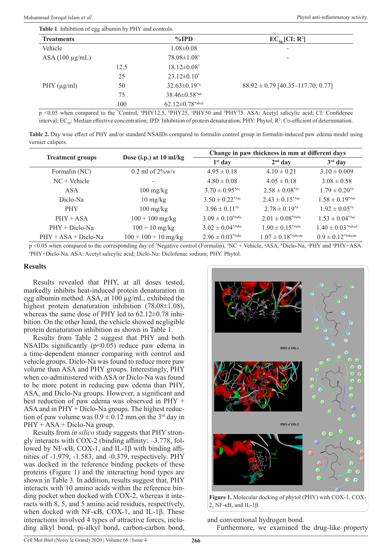| <b>Treatments</b>   |      | $\%$ IPD                        | $EC_{50}$ [CI; R <sup>2</sup> ]       |
|---------------------|------|---------------------------------|---------------------------------------|
| Vehicle             |      | $1.08 \pm 0.08$                 | -                                     |
| $ASA(100 \mu g/mL)$ |      | $78.08 \pm 1.08^*$              |                                       |
|                     | 12.5 | $18.12 \pm 0.08^*$              |                                       |
|                     | 25   | $23.12 \pm 0.10^*$              |                                       |
| PHY $(\mu g/ml)$    | 50   | $32.63 \pm 0.19^{*a}$           | $88.92 \pm 0.79$ [40.35-117.70; 0.77] |
|                     | 75   | $38.46 \pm 0.58$ *ab            |                                       |
|                     | 100  | $62.12{\pm}0.78^{*\text{abcd}}$ |                                       |

p <0.05 when compared to the 'Control, <sup>a</sup>PHY12.5, <sup>b</sup>PHY25, <sup>c</sup>PHY50 and <sup>d</sup>PHY75. ASA: Acetyl salicylic acid; CI: Confidence interval; EC<sub>50</sub>: Median effective concentration; IPD: Inhibition of protein denaturation; PHY: Phytol; R<sup>2</sup>: Co-efficient of determination.

**Table 2.** Day wise effect of PHY and/or standard NSAIDs compared to formalin control group in formalin-induced paw edema model using vernier calipers.

|                         |                                  | Change in paw thickness in mm at different days |                                    |                                   |  |
|-------------------------|----------------------------------|-------------------------------------------------|------------------------------------|-----------------------------------|--|
| <b>Treatment groups</b> | Dose (i.p.) at 10 ml/kg          | $1st$ day                                       | $2nd$ day                          | $3rd$ day                         |  |
| Formalin (NC)           | 0.2 ml of $2\%$ w/v              | $4.95 \pm 0.18$                                 | $4.10 \pm 0.21$                    | $3.10 \pm 0.009$                  |  |
| $NC + Vehicle$          |                                  | $4.80 \pm 0.08$                                 | $4.05 \pm 0.18$                    | $3.08 \pm 0.58$                   |  |
| ASA                     | $100 \text{ mg/kg}$              | $3.70 \pm 0.95$ <sup>*#c</sup>                  | $2.58 \pm 0.08^{*}\%$              | $1.79 \pm 0.20^{*}$               |  |
| Diclo-Na                | $10 \frac{\text{mg}}{\text{kg}}$ | $3.50 \pm 0.22$ <sup>*#ac</sup>                 | $2.43 \pm 0.15^{*}$                | $1.58 \pm 0.19^{*}$ #ac           |  |
| <b>PHY</b>              | $100 \text{ mg/kg}$              | $3.96 \pm 0.11^{**}$                            | $2.78 \pm 0.19^{*}$                | $1.92 \pm 0.05^{*}$               |  |
| $PHY + ASA$             | $100 + 100$ mg/kg                | $3.09 \pm 0.10^{*}$ #abc                        | $2.01 \pm 0.08^{* \text{\#abc}}$   | $1.53 \pm 0.04^{*}$ #ac           |  |
| $PHY + Diclo-Na$        | $100 + 10$ mg/kg                 | $3.02 \pm 0.04^{* \text{\#abc}}$                | $1.90 \pm 0.15$ <sup>*#abc</sup>   | $1.40 \pm 0.03^{*}$ #abcd         |  |
| $PHY + ASA + Diclo-Na$  | $100 + 100 + 10$ mg/kg           | $2.96 \pm 0.03^{*}$ #abc                        | $1.07 \pm 0.18^{* \text{\#abcde}}$ | $0.9 \pm 0.12^{* \text{\#abcde}}$ |  |

p <0.05 when compared to the corresponding day of "Negative control (Formalin), "NC + Vehicle, "ASA, "Diclo-Na, "PHY and "PHY+ASA. e PHY+Diclo-Na. ASA: Acetyl salicylic acid; Diclo-Na: Diclofenac sodium; PHY: Phytol.

#### **Results**

Results revealed that PHY, at all doses tested, markedly inhibits heat-induced protein denaturation in egg albumin method. ASA, at 100 µg/mL, exhibited the highest protein denaturation inhibition (78.08±1.08), whereas the same dose of PHY led to  $62.12\pm0.78$  inhibition. On the other hand, the vehicle showed negligible protein denaturation inhibition as shown in Table 1.

Results from Table 2 suggest that PHY and both NSAIDs significantly  $(p<0.05)$  reduce paw edema in a time-dependent manner comparing with control and vehicle groups. Diclo-Na was found to reduce more paw volume than ASA and PHY groups. Interestingly, PHY when co-administered with ASA or Diclo-Na was found to be more potent in reducing paw edema than PHY, ASA, and Diclo-Na groups. However, a significant and best reduction of paw edema was observed in PHY + ASA and in PHY + Diclo-Na groups. The highest reduction of paw volume was  $0.9 \pm 0.12$  mm on the 3<sup>rd</sup> day in  $PHY + ASA + Diclo-Na$  group.

Results from *in silico* study suggests that PHY strongly interacts with COX-2 (binding affinity: –3.778, followed by NF-κB, COX-1, and IL-1β with binding affinities of -1.979, -1.583, and -0.379, respectively. PHY was docked in the reference binding pockets of these proteins (Figure 1) and the interacting bond types are shown in Table 3. In addition, results suggest that, PHY interacts with 10 amino acids within the reference binding pocket when docked with COX-2, whereas it interacts with 8, 5, and 5 amino acid residues, respectively, when docked with NF-κB, COX-1, and IL-1β. These interactions involved 4 types of attractive forces, including alkyl bond, pi-alkyl bond, carbon-carbon bond,



Figure 1. Molecular docking of phytol (PHY) with COX-1, COX-2, NF-κB, and IL-1β.

and conventional hydrogen bond.

Furthermore, we examined the drug-like property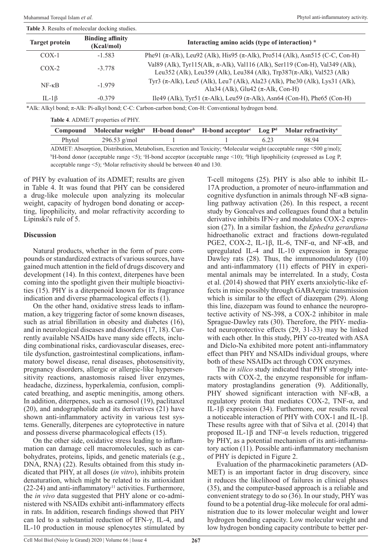**Table 3**. Results of molecular docking studies.

| <b>Target protein</b> | <b>Binding affinity</b><br>(Kcal/mol) | Interacting amino acids (type of interaction) *                                                                                                             |  |
|-----------------------|---------------------------------------|-------------------------------------------------------------------------------------------------------------------------------------------------------------|--|
| $COX-1$               | $-1.583$                              | Phe91 ( $\pi$ -Alk), Leu92 (Alk), His95 ( $\pi$ -Alk), Pro514 (Alk), Asn515 (C-C, Con-H)                                                                    |  |
| $COX-2$               | $-3.778$                              | Val89 (Alk), Tyr115(Alk, π-Alk), Val116 (Alk), Ser119 (Con-H), Val349 (Alk),<br>Leu352 (Alk), Leu359 (Alk), Leu384 (Alk), Trp387( $\pi$ -Alk), Val523 (Alk) |  |
| $NF - \kappa B$       | $-1.979$                              | Tyr3 (π-Alk), Leu5 (Alk), Leu7 (Alk), Ala23 (Alk), Phe30 (Alk), Lys31 (Alk),<br>Ala34 (Alk), Glu42 ( $\pi$ -Alk, Con-H)                                     |  |
| IL-1 $\beta$          | $-0.379$                              | Ile49 (Alk), Tyr51 (π-Alk), Leu59 (π-Alk), Asn64 (Con-H), Phe65 (Con-H)                                                                                     |  |

\*Alk: Alkyl bond; π-Alk: Pi-alkyl bond; C-C: Carbon-carbon bond; Con-H: Conventional hydrogen bond.

**Table 4**. ADME/T properties of PHY.

|        | Compound Molecular weight <sup>a</sup> H-bond donor <sup>b</sup> H-bond acceptor <sup>c</sup> Log $P^d$ Molar refractivity <sup>e</sup> |  |      |                                                                                                                                   |
|--------|-----------------------------------------------------------------------------------------------------------------------------------------|--|------|-----------------------------------------------------------------------------------------------------------------------------------|
| Phytol | 296.53 $g/mol$                                                                                                                          |  | 6.23 | 98.94                                                                                                                             |
|        |                                                                                                                                         |  |      | ADMET: Absorption, Distribution, Metabolism, Excretion and Toxicity; <sup>a</sup> Molecular weight (acceptable range <500 g/mol); |

<sup>b</sup>H-bond donor (acceptable range <5); <sup>c</sup>H-bond acceptor (acceptable range <10); <sup>d</sup>High lipophilicity (expressed as Log P, acceptable range <5); e Molar refractivity should be between 40 and 130.

of PHY by evaluation of its ADMET; results are given in Table 4. It was found that PHY can be considered a drug-like molecule upon analyzing its molecular weight, capacity of hydrogen bond donating or accepting, lipophilicity, and molar refractivity according to Lipinski's rule of 5.

#### **Discussion**

Natural products, whether in the form of pure compounds or standardized extracts of various sources, have gained much attention in the field of drugs discovery and development (14). In this context, diterpenes have been coming into the spotlight given their multiple bioactivities (15). PHY is a diterpenoid known for its fragrance indication and diverse pharmacological effects (1).

On the other hand, oxidative stress leads to inflammation, a key triggering factor of some known diseases, such as atrial fibrillation in obesity and diabetes (16), and in neurological diseases and disorders (17, 18). Currently available NSAIDs have many side effects, including combinational risks, cardiovascular diseases, erectile dysfunction, gastrointestinal complications, inflammatory bowel disease, renal diseases, photosensitivity, pregnancy disorders, allergic or allergic-like hypersensitivity reactions, anastomosis raised liver enzymes, headache, dizziness, hyperkalemia, confusion, complicated breathing, and aseptic meningitis, among others. In addition, diterpenes, such as carnosol (19), paclitaxel (20), and andographolide and its derivatives (21) have shown anti-inflammatory activity in various test systems. Generally, diterpenes are cytoprotective in nature and possess diverse pharmacological effects (15).

On the other side, oxidative stress leading to inflammation can damage cell macromolecules, such as carbohydrates, proteins, lipids, and genetic materials (e.g., DNA, RNA) (22). Results obtained from this study indicated that PHY, at all doses (*in vitro*), inhibits protein denaturation, which might be related to its antioxidant  $(22-24)$  and anti-inflammatory<sup>11</sup> activities. Furthermore, the *in vivo* data suggested that PHY alone or co-administered with NSAIDs exhibit anti-inflammatory effects in rats. In addition, research findings showed that PHY can led to a substantial reduction of IFN-γ, IL-4, and IL-10 production in mouse splenocytes stimulated by

T-cell mitogens (25). PHY is also able to inhibit IL-17A production, a promoter of neuro-inflammation and cognitive dysfunction in animals through NF-κB signaling pathway activation (26). In this respect, a recent study by Goncalves and colleagues found that a betulin derivative inhibits IFN-γ and modulates COX-2 expression (27). In a similar fashion, the *Ephedra gerardiana* hidroethanolic extract and fractions down-regulated PGE2, COX-2, IL-1β, IL-6, TNF-α, and NF-κB, and upregulated IL-4 and IL-10 expression in Sprague Dawley rats (28). Thus, the immunomodulatory (10) and anti-inflammatory (11) effects of PHY in experimental animals may be interrelated. In a study, Costa et al. (2014) showed that PHY exerts anxiolytic-like effects in mice possibly through GABAergic transmission which is similar to the effect of diazepam (29). Along this line, diazepam was found to enhance the neuroprotective activity of NS-398, a COX-2 inhibitor in male Sprague-Dawley rats (30). Therefore, the PHY- mediated neuroprotective effects (29, 31-33) may be linked with each other. In this study, PHY co-treated with ASA and Diclo-Na exhibited more potent anti-inflammatory effect than PHY and NSAIDs individual groups, where both of these NSAIDs act through COX enzymes.

The *in silico* study indicated that PHY strongly interacts with COX-2, the enzyme responsible for inflammatory prostaglandins generation (9). Additionally, PHY showed significant interaction with NF-κB, a regulatory protein that mediates COX-2, TNF-α, and IL-1β expression (34). Furthermore, our results reveal a noticeable interaction of PHY with COX-1 and IL-1β. These results agree with that of Silva et al. (2014) that proposed IL‐1β and TNF‐α levels reduction, triggered by PHY, as a potential mechanism of its anti-inflammatory action (11). Possible anti-inflammatory mechanism of PHY is depicted in Figure 2.

Evaluation of the pharmacokinetic parameters (AD-MET) is an important factor in drug discovery, since it reduces the likelihood of failures in clinical phases (35), and the computer-based approach is a reliable and convenient strategy to do so (36). In our study, PHY was found to be a potential drug-like molecule for oral administration due to its lower molecular weight and lower hydrogen bonding capacity. Low molecular weight and low hydrogen bonding capacity contribute to better per-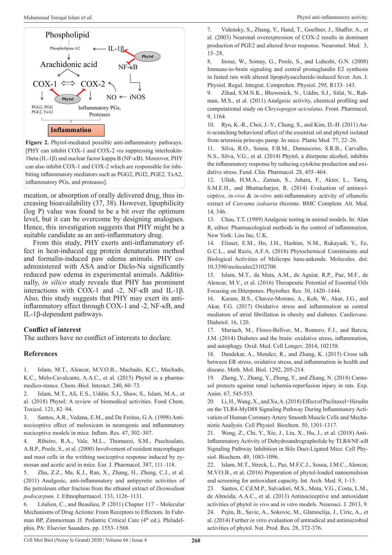

**Figure 2.** Phytol-mediated possible anti-inflammatory pathways. [PHY can inhibit COX-1 and COX-2 *via* suppressing interleukin-1beta (IL-1β) and nuclear factor kappa B (NF-κB). Moreover, PHY can also inhibit COX-1 and COX-2 which are responsible for inhibiting inflammatory mediators such as PGG2, PGI2, PGE2, TxA2, inflammatory PGs, and proteases].

meation, or absorption of orally delivered drug, thus increasing bioavailability (37, 38). However, lipophilicity (log P) value was found to be a bit over the optimum level, but it can be overcome by designing analogues. Hence, this investigation suggests that PHY might be a suitable candidate as an anti-inflammatory drug.

From this study, PHY exerts anti-inflammatory effect in heat-induced egg protein denaturation method and formalin-induced paw edema animals. PHY coadministered with ASA and/or Diclo-Na significantly reduced paw edema in experimental animals. Additionally, *in silico* study reveals that PHY has prominent interactions with COX-1 and -2, NF-κB and IL-1β. Also, this study suggests that PHY may exert its antiinflammatory effect through COX-1 and -2, NF-κB, and IL-1β-dependent pathways.

## **Conflict of interest**

The authors have no conflict of interests to declare.

# **References**

1. Islam, M.T., Alencar, M.V.O.B., Machado, K.C., Machado, K.C., Melo-Cavalcante, A.A.C., et al. (2015) Phytol in a pharmamedico-stance. Chem.-Biol. Interact. 240, 60–73.

2. Islam, M.T., Ali, E.S., Uddin, S.J., Shaw, S., Islam, M.A., et al. (2018) Phytol: A review of biomedical activities. Food Chem. Toxicol. 121, 82–94.

3. Santos, A.R., Vedana, E.M., and De Freitas, G.A. (1998) Antinociceptive effect of meloxicam in neurogenic and inflammatory nociceptive models in mice. Inflam. Res. 47, 302–307.

4. Ribeiro, R.A., Vale, M.L., Thomazzi, S.M., Paschoalato, A.B.P., Poole, S., et al. (2000) Involvement of resident macrophages and mast cells in the writhing nociceptive response induced by zymosan and acetic acid in mice. Eur. J. Pharmacol. 387, 111–118.

5. Zhu, Z.Z., Ma, K.J., Ran, X., Zhang, H., Zheng, C.J., et al. (2011) Analgesic, anti-inflammatory and antipyretic activities of the petroleum ether fraction from the ethanol extract of *Desmodium podocarpum*. J. Ethnopharmacol. 133, 1126–1131.

6. Litalien, C., and Beaulieu, P. (2011) Chapter 117 – Molecular Mechanisms of Drug Actions: From Receptors to Effectors. In Fuhrman BP, Zimmerman JJ. Pediatric Critical Care (4<sup>th</sup> ed.). Philadelphia, PA: Elsevier Saunders. pp. 1553–1568.

7. Vidensky, S., Zhang, Y., Hand, T., Goellner, J., Shaffer, A., et al. (2003) Neuronal overexpression of COX-2 results in dominant production of PGE2 and altered fever response. Neuromol. Med. 3, 15–28.

8. Inoue, W., Somay, G., Poole, S., and Luheshi, G.N. (2008) Immune-to-brain signaling and central prostaglandin E2 synthesis in fasted rats with altered lipopolysaccharide-induced fever. Am. J. Physiol. Regul. Integrat. Comprehen. Physiol. 295, R133–143.

9. Zihad, S.M.N.K., Bhowmick, N., Uddin, S.J., Sifat, N., Rahman, M.S., et al. (2011) Analgesic activity, chemical profiling and computational study on *Chrysopogon aciculatus*. Front. Pharmacol. 9, 1164.

10. Ryu, K.-R., Choi, J.-Y., Chung, S., and Kim, D.-H. (2011) Anti-scratching behavioral effect of the essential oil and phytol isolated from artemisia princeps pamp. In mice. Planta Med. 77, 22–26.

11. Silva, R.O., Sousa, F.B.M., Damasceno, S.R.B., Carvalho, N.S., Silva, V.G., et al. (2014) Phytol, a diterpene alcohol, inhibits the inflammatory response by reducing cytokine production and oxidative stress. Fund. Clin. Pharmacol. 28, 455–464.

12. Ullah, H.M.A., Zaman, S., Juhara, F., Akter, L., Tareq, S.M.E.H., and Bhattacharjee, R. (2014) Evaluation of antinociceptive, *in-vivo* & *in-vitro* anti-inflammatory activity of ethanolic extract of *Curcuma zedoaria* rhizome. BMC Complem. Alt. Med. 14, 346.

13. Chau, T.T. (1989) Analgesic testing in animal models. In: Alan R, editor. Pharmacological methods in the control of inflammation. New York: Liss Inc, U.K.

14. Eliaser, E.M., Ho, J.H., Hashim, N.M., Rukayadi, Y., Ee, G.C.L., and Razis, A.F.A. (2018) Phytochemical Constituents and Biological Activities of Melicope lunu-ankenda. Molecules. doi: 10.3390/molecules23102708

15. Islam, M.T., da Mata, A.M., de Aguiar, R.P., Paz, M.F., de Alencar, M.V., et al. (2016) Therapeutic Potential of Essential Oils Focusing on Diterpenes. Phytother. Res. 30, 1420–1444.

16. Karam, B.S., Chavez-Moreno, A., Koh, W., Akar, J.G., and Akar, F.G. (2017) Oxidative stress and inflammation as central mediators of atrial fibrillation in obesity and diabetes. Cardiovasc. Diabetol. 16, 120.

17. Muriach, M., Flores-Bellver, M., Romero, F.J., and Barcia, J.M. (2014) Diabetes and the brain: oxidative stress, inflammation, and autophagy. Oxid. Med. Cell Longev. 2014, 102158.

18. Dandekar, A., Mendez, R., and Zhang, K. (2015) Cross talk between ER stress, oxidative stress, and inflammation in health and disease. Meth. Mol. Biol. 1292, 205-214.

19. Zheng, Y., Zhang, Y., Zheng, Y., and Zhang, N. (2018) Carnosol protects against renal ischemia-reperfusion injury in rats. Exp. Anim. 67, 545-553.

20. Li, H., Wang, X., and Xu, A. (2018) Effect of Paclitaxel+Hirudin on the TLR4-MyD88 Signaling Pathway During Inflammatory Activation of Human Coronary Artery Smooth Muscle Cells and Mechanistic Analysis. Cell Physiol. Biochem. 50, 1301-1317.

21. Weng, Z., Chi, Y., Xie, J., Liu, X., Hu, J., et al. (2018) Anti-Inflammatory Activity of Dehydroandrographolide by TLR4/NF-κB Signaling Pathway Inhibition in Bile Duct-Ligated Mice. Cell Physiol. Biochem. 49, 1083-1096.

22. Islam, M.T., Streck, L., Paz, M.F.C.J., Sousa, J.M.C., Alencar, M.V.O.B., et al. (2016) Preparation of phytol-loaded nanoemulsion and screening for antioxidant capacity. Int. Arch. Med. 9, 1-15.

23. Santos, C.Cd.M.P., Salvadori, M.S., Mota, V.G., Costa, L.M., de Almeida, A.A.C., et al. (2013) Antinociceptive and antioxidant activities of phytol *in vivo* and *in vitro* models. Neurosci. J. 2013, 9. 24. Pejin, B., Savic, A., Sokovic, M., Glamoclija, J., Ciric, A., et al. (2014) Further *in vitro* evaluation of antiradical and antimicrobial activities of phytol. Nat. Prod. Res. 28, 372-376.